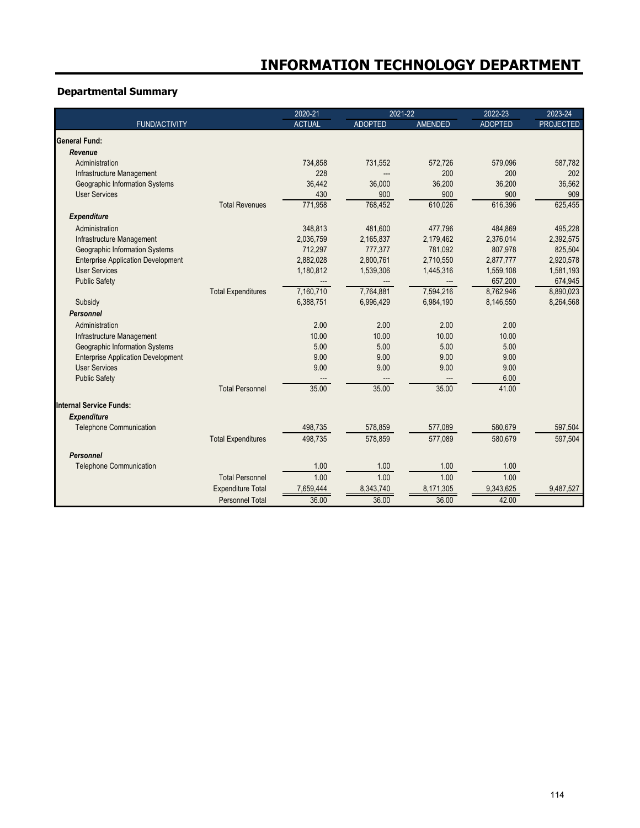# **Departmental Summary**

|                                           |                           | 2020-21       | 2021-22        |                | 2022-23        | 2023-24          |
|-------------------------------------------|---------------------------|---------------|----------------|----------------|----------------|------------------|
| <b>FUND/ACTIVITY</b>                      |                           | <b>ACTUAL</b> | <b>ADOPTED</b> | <b>AMENDED</b> | <b>ADOPTED</b> | <b>PROJECTED</b> |
| <b>General Fund:</b>                      |                           |               |                |                |                |                  |
| Revenue                                   |                           |               |                |                |                |                  |
| Administration                            |                           | 734,858       | 731,552        | 572,726        | 579,096        | 587,782          |
| Infrastructure Management                 |                           | 228           |                | 200            | 200            | 202              |
| Geographic Information Systems            |                           | 36,442        | 36,000         | 36,200         | 36,200         | 36,562           |
| <b>User Services</b>                      |                           | 430           | 900            | 900            | 900            | 909              |
|                                           | <b>Total Revenues</b>     | 771,958       | 768,452        | 610,026        | 616,396        | 625,455          |
| <b>Expenditure</b>                        |                           |               |                |                |                |                  |
| Administration                            |                           | 348,813       | 481,600        | 477,796        | 484,869        | 495,228          |
| Infrastructure Management                 |                           | 2,036,759     | 2,165,837      | 2,179,462      | 2,376,014      | 2,392,575        |
| Geographic Information Systems            |                           | 712,297       | 777,377        | 781.092        | 807,978        | 825,504          |
| <b>Enterprise Application Development</b> |                           | 2,882,028     | 2,800,761      | 2,710,550      | 2,877,777      | 2,920,578        |
| <b>User Services</b>                      |                           | 1,180,812     | 1,539,306      | 1,445,316      | 1,559,108      | 1,581,193        |
| <b>Public Safety</b>                      |                           |               |                |                | 657,200        | 674,945          |
|                                           | <b>Total Expenditures</b> | 7,160,710     | 7,764,881      | 7,594,216      | 8,762,946      | 8,890,023        |
| Subsidy                                   |                           | 6,388,751     | 6,996,429      | 6,984,190      | 8,146,550      | 8,264,568        |
| <b>Personnel</b>                          |                           |               |                |                |                |                  |
| Administration                            |                           | 2.00          | 2.00           | 2.00           | 2.00           |                  |
| Infrastructure Management                 |                           | 10.00         | 10.00          | 10.00          | 10.00          |                  |
| Geographic Information Systems            |                           | 5.00          | 5.00           | 5.00           | 5.00           |                  |
| <b>Enterprise Application Development</b> |                           | 9.00          | 9.00           | 9.00           | 9.00           |                  |
| <b>User Services</b>                      |                           | 9.00          | 9.00           | 9.00           | 9.00           |                  |
| <b>Public Safety</b>                      |                           |               |                |                | 6.00           |                  |
|                                           | <b>Total Personnel</b>    | 35.00         | 35.00          | 35.00          | 41.00          |                  |
| <b>Internal Service Funds:</b>            |                           |               |                |                |                |                  |
| <b>Expenditure</b>                        |                           |               |                |                |                |                  |
| <b>Telephone Communication</b>            |                           | 498,735       | 578,859        | 577,089        | 580,679        | 597,504          |
|                                           | <b>Total Expenditures</b> | 498,735       | 578,859        | 577,089        | 580,679        | 597,504          |
| Personnel                                 |                           |               |                |                |                |                  |
| <b>Telephone Communication</b>            |                           | 1.00          | 1.00           | 1.00           | 1.00           |                  |
|                                           | <b>Total Personnel</b>    | 1.00          | 1.00           | 1.00           | 1.00           |                  |
|                                           |                           |               | 8,343,740      |                |                | 9,487,527        |
|                                           | <b>Expenditure Total</b>  | 7,659,444     |                | 8,171,305      | 9,343,625      |                  |
|                                           | Personnel Total           | 36.00         | 36.00          | 36.00          | 42.00          |                  |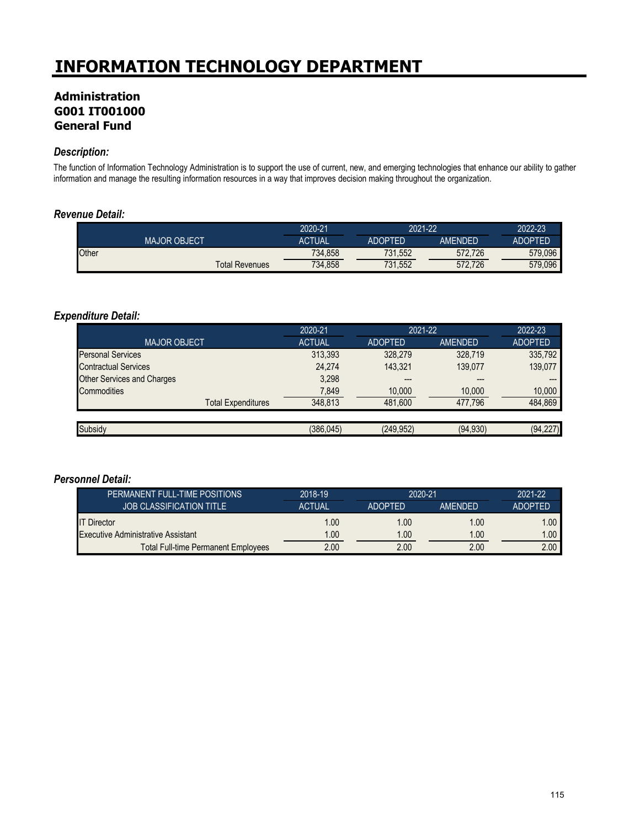# **Administration G001 IT001000 General Fund**

#### *Description:*

The function of Information Technology Administration is to support the use of current, new, and emerging technologies that enhance our ability to gather information and manage the resulting information resources in a way that improves decision making throughout the organization.

#### *Revenue Detail:*

|                       | 2020-21       | 2021-22        |         | 2022-23 |
|-----------------------|---------------|----------------|---------|---------|
| <b>MAJOR OBJECT</b>   | <b>ACTUAL</b> | <b>ADOPTED</b> | AMFNDFD | ADOPTED |
| <b>Other</b>          | 734,858       | 731.552        | 572.726 | 579.096 |
| <b>Total Revenues</b> | 734,858       | 731,552        | 572.726 | 579,096 |

#### *Expenditure Detail:*

|                                   | 2020-21       | 2021-22        |                | 2022-23        |
|-----------------------------------|---------------|----------------|----------------|----------------|
| <b>MAJOR OBJECT</b>               | <b>ACTUAL</b> | <b>ADOPTED</b> | <b>AMENDED</b> | <b>ADOPTED</b> |
| <b>Personal Services</b>          | 313,393       | 328.279        | 328.719        | 335,792        |
| <b>Contractual Services</b>       | 24.274        | 143.321        | 139.077        | 139,077        |
| <b>Other Services and Charges</b> | 3,298         | ---            | $---$          | ---            |
| Commodities                       | 7,849         | 10,000         | 10,000         | 10,000         |
| <b>Total Expenditures</b>         | 348,813       | 481,600        | 477.796        | 484,869        |
|                                   |               |                |                |                |
| Subsidy                           | (386, 045)    | (249.952)      | (94, 930)      | (94, 227)      |

| PERMANENT FULL-TIME POSITIONS              | 2018-19       | 2020-21        |                | 2021-22        |
|--------------------------------------------|---------------|----------------|----------------|----------------|
| <b>JOB CLASSIFICATION TITLE</b>            | <b>ACTUAL</b> | <b>ADOPTED</b> | <b>AMFNDFD</b> | <b>ADOPTED</b> |
| <b>IT Director</b>                         | 1.00          | 1.00           | 1.00           | 1.00           |
| <b>Executive Administrative Assistant</b>  | 1.00          | 1.00           | 1.00           | 1.00           |
| <b>Total Full-time Permanent Employees</b> | 2.00          | 2.00           | 2.00           | 2.00           |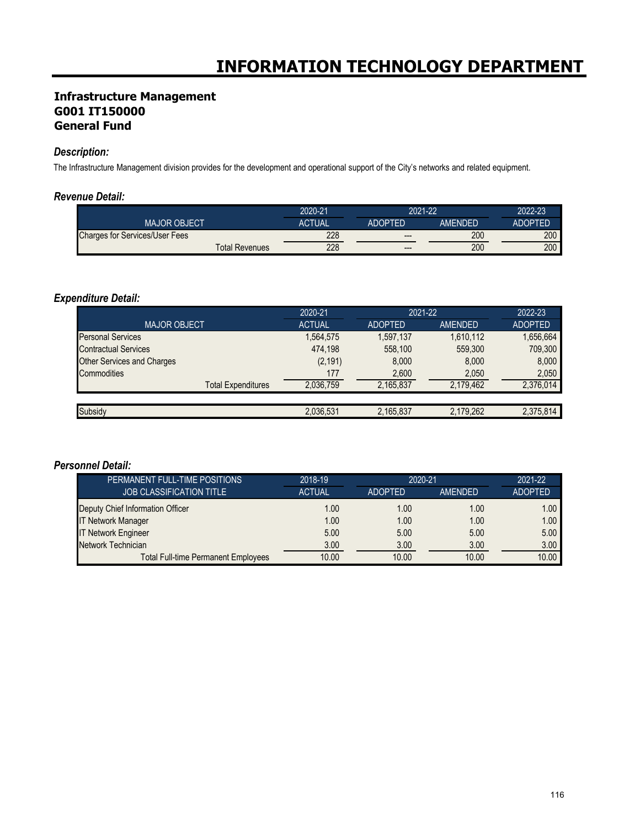### **Infrastructure Management G001 IT150000 General Fund**

#### *Description:*

The Infrastructure Management division provides for the development and operational support of the City's networks and related equipment.

#### *Revenue Detail:*

|                                       | 2020-21 |                | 2021-22 |                  |
|---------------------------------------|---------|----------------|---------|------------------|
| <b>MAJOR OBJECT</b>                   | ACTUAL  | <b>ADOPTED</b> | AMFNDFD | <b>ADOPTED</b>   |
| <b>Charges for Services/User Fees</b> | 228     | $---$          | 200     | 200 <sub>1</sub> |
| <b>Total Revenues</b>                 | 228     | $---$          | 200     | 200 <sub>1</sub> |

# *Expenditure Detail:*

|                                   | 2020-21       | 2021-22        |           | 2022-23        |
|-----------------------------------|---------------|----------------|-----------|----------------|
| <b>MAJOR OBJECT</b>               | <b>ACTUAL</b> | <b>ADOPTED</b> | AMENDED   | <b>ADOPTED</b> |
| <b>Personal Services</b>          | 1,564,575     | 1,597,137      | 1,610,112 | 1,656,664      |
| <b>Contractual Services</b>       | 474.198       | 558.100        | 559.300   | 709,300        |
| <b>Other Services and Charges</b> | (2, 191)      | 8.000          | 8.000     | 8,000          |
| Commodities                       | 177           | 2,600          | 2,050     | 2.050          |
| <b>Total Expenditures</b>         | 2,036,759     | 2,165,837      | 2.179.462 | 2,376,014      |
|                                   |               |                |           |                |
| Subsidy                           | 2,036,531     | 2,165,837      | 2,179,262 | 2,375,814      |

| PERMANENT FULL-TIME POSITIONS              | 2018-19       | 2020-21        |         | 2021-22           |
|--------------------------------------------|---------------|----------------|---------|-------------------|
| <b>JOB CLASSIFICATION TITLE</b>            | <b>ACTUAL</b> | <b>ADOPTED</b> | AMENDED | <b>ADOPTED</b>    |
| Deputy Chief Information Officer           | 1.00          | 1.00           | 1.00    | 1.00 <sub>1</sub> |
| <b>IT Network Manager</b>                  | 1.00          | 1.00           | 1.00    | 1.00              |
| <b>IT Network Engineer</b>                 | 5.00          | 5.00           | 5.00    | 5.00              |
| Network Technician                         | 3.00          | 3.00           | 3.00    | 3.00              |
| <b>Total Full-time Permanent Employees</b> | 10.00         | 10.00          | 10.00   | 10.00             |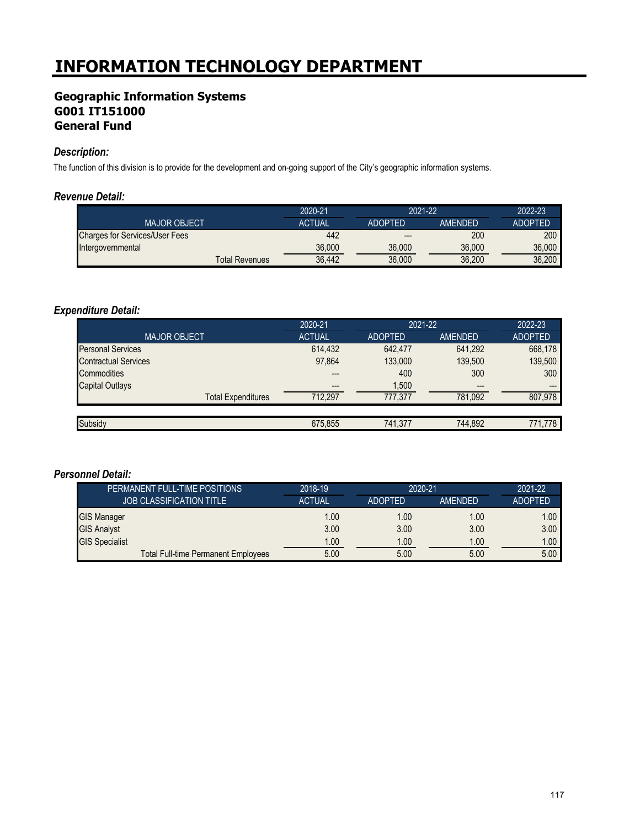# **Geographic Information Systems G001 IT151000 General Fund**

#### *Description:*

The function of this division is to provide for the development and on-going support of the City's geographic information systems.

#### *Revenue Detail:*

|                                       | 2020-21       |                | 2021-22        |                |
|---------------------------------------|---------------|----------------|----------------|----------------|
| <b>MAJOR OBJECT</b>                   | <b>ACTUAL</b> | <b>ADOPTED</b> | <b>AMENDED</b> | <b>ADOPTED</b> |
| <b>Charges for Services/User Fees</b> | 442           | $- - -$        | 200            | 200            |
| Intergovernmental                     | 36.000        | 36,000         | 36,000         | 36,000         |
| <b>Total Revenues</b>                 | 36.442        | 36,000         | 36,200         | 36,200         |

### *Expenditure Detail:*

|                             | 2020-21       | 2021-22        |                | 2022-23        |
|-----------------------------|---------------|----------------|----------------|----------------|
| <b>MAJOR OBJECT</b>         | <b>ACTUAL</b> | <b>ADOPTED</b> | <b>AMENDED</b> | <b>ADOPTED</b> |
| <b>Personal Services</b>    | 614,432       | 642.477        | 641,292        | 668,178        |
| <b>Contractual Services</b> | 97,864        | 133,000        | 139.500        | 139,500        |
| Commodities                 | ---           | 400            | 300            | 300            |
| <b>Capital Outlays</b>      | $---$         | 1,500          | $---$          | $---$          |
| <b>Total Expenditures</b>   | 712,297       | 777.377        | 781,092        | 807,978        |
|                             |               |                |                |                |
| Subsidy                     | 675,855       | 741.377        | 744.892        | 771.778        |

| PERMANENT FULL-TIME POSITIONS              | 2018-19       | 2020-21        |         | 2021-22           |
|--------------------------------------------|---------------|----------------|---------|-------------------|
| <b>JOB CLASSIFICATION TITLE</b>            | <b>ACTUAL</b> | <b>ADOPTED</b> | AMENDED | <b>ADOPTED</b>    |
| <b>GIS Manager</b>                         | 1.00          | 1.00           | 1.00    | 1.00 <sub>1</sub> |
| <b>GIS Analyst</b>                         | 3.00          | 3.00           | 3.00    | 3.00 <sub>1</sub> |
| <b>GIS Specialist</b>                      | 1.00          | 1.00           | 1.00    | 1.00 <sub>1</sub> |
| <b>Total Full-time Permanent Employees</b> | 5.00          | 5.00           | 5.00    | 5.00              |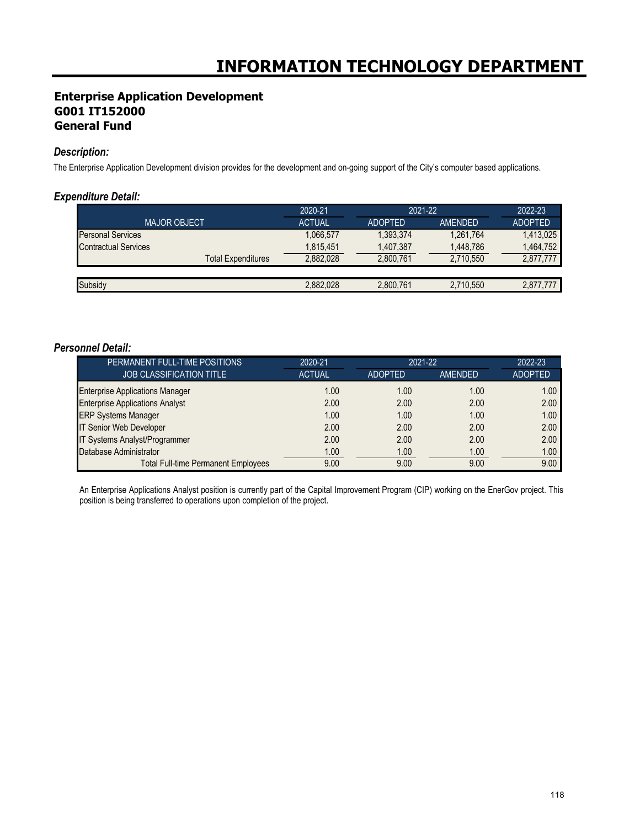### **Enterprise Application Development G001 IT152000 General Fund**

#### *Description:*

The Enterprise Application Development division provides for the development and on-going support of the City's computer based applications.

#### *Expenditure Detail:*

|                             | 2020-21       | 2021-22        |           | 2022-23        |
|-----------------------------|---------------|----------------|-----------|----------------|
| <b>MAJOR OBJECT</b>         | <b>ACTUAL</b> | <b>ADOPTED</b> | AMENDED   | <b>ADOPTED</b> |
| <b>Personal Services</b>    | 1,066,577     | 1,393,374      | 1.261.764 | 1,413,025      |
| <b>Contractual Services</b> | 1,815,451     | 1,407,387      | 1,448,786 | 1.464.752      |
| Total Expenditures          | 2,882,028     | 2.800.761      | 2,710,550 | 2,877,777      |
|                             |               |                |           |                |
| Subsidy                     | 2,882,028     | 2,800,761      | 2,710,550 | 2.877.777      |

#### *Personnel Detail:*

| PERMANENT FULL-TIME POSITIONS              | 2020-21       | 2021-22        |                | 2022-23           |
|--------------------------------------------|---------------|----------------|----------------|-------------------|
| <b>JOB CLASSIFICATION TITLE</b>            | <b>ACTUAL</b> | <b>ADOPTED</b> | <b>AMENDED</b> | <b>ADOPTED</b>    |
| <b>Enterprise Applications Manager</b>     | 1.00          | 1.00           | 1.00           | 1.00 <sub>1</sub> |
| <b>Enterprise Applications Analyst</b>     | 2.00          | 2.00           | 2.00           | 2.00              |
| <b>ERP Systems Manager</b>                 | 1.00          | 1.00           | 1.00           | 1.00              |
| IT Senior Web Developer                    | 2.00          | 2.00           | 2.00           | 2.00              |
| IT Systems Analyst/Programmer              | 2.00          | 2.00           | 2.00           | 2.00              |
| Database Administrator                     | 1.00          | 1.00           | 1.00           | 1.00              |
| <b>Total Full-time Permanent Employees</b> | 9.00          | 9.00           | 9.00           | 9.00              |

An Enterprise Applications Analyst position is currently part of the Capital Improvement Program (CIP) working on the EnerGov project. This position is being transferred to operations upon completion of the project.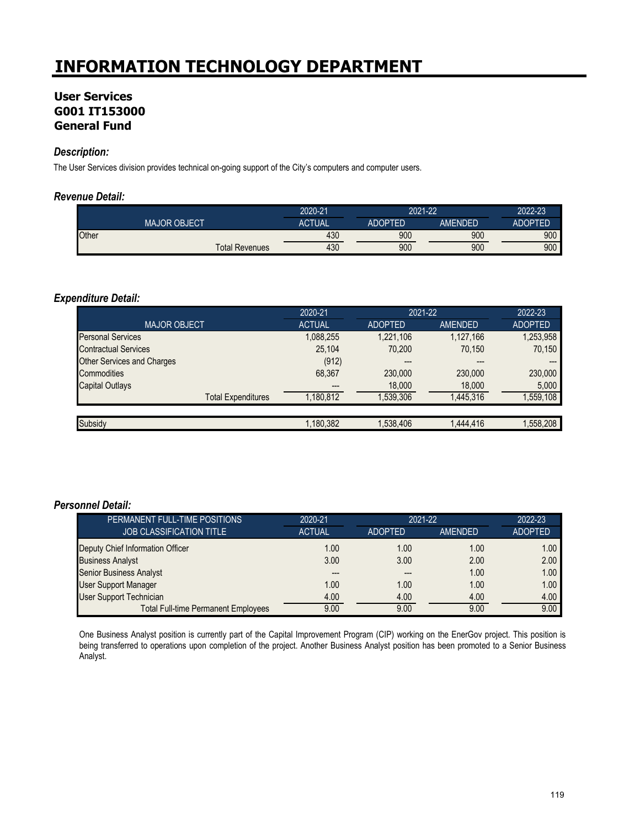## **User Services G001 IT153000 General Fund**

#### *Description:*

The User Services division provides technical on-going support of the City's computers and computer users.

#### *Revenue Detail:*

|              |                     | 2020-21               |     | 2021-22        |         | 2022-23        |
|--------------|---------------------|-----------------------|-----|----------------|---------|----------------|
|              | <b>MAJOR OBJECT</b> | <b>ACTUAL</b>         |     | <b>ADOPTED</b> | AMFNDFD | <b>ADOPTED</b> |
| <b>Other</b> |                     |                       | 430 | 900            | 900     | 900            |
|              |                     | <b>Total Revenues</b> | 430 | 900            | 900     | 900            |

#### *Expenditure Detail:*

|                                   | 2020-21       | 2021-22        |                | 2022-23        |
|-----------------------------------|---------------|----------------|----------------|----------------|
| <b>MAJOR OBJECT</b>               | <b>ACTUAL</b> | <b>ADOPTED</b> | <b>AMENDED</b> | <b>ADOPTED</b> |
| <b>Personal Services</b>          | 1,088,255     | 1,221,106      | 1,127,166      | 1,253,958      |
| <b>Contractual Services</b>       | 25,104        | 70,200         | 70,150         | 70,150         |
| <b>Other Services and Charges</b> | (912)         | ---            | ---            |                |
| Commodities                       | 68,367        | 230,000        | 230,000        | 230,000        |
| <b>Capital Outlays</b>            |               | 18,000         | 18,000         | 5,000          |
| <b>Total Expenditures</b>         | 1,180,812     | 1,539,306      | 1,445,316      | 1,559,108      |
|                                   |               |                |                |                |
| Subsidy                           | 1.180.382     | 1,538,406      | 1,444,416      | 1,558,208      |

#### *Personnel Detail:*

| PERMANENT FULL-TIME POSITIONS              | 2020-21       | 2021-22        |         | 2022-23           |
|--------------------------------------------|---------------|----------------|---------|-------------------|
| <b>JOB CLASSIFICATION TITLE</b>            | <b>ACTUAL</b> | <b>ADOPTED</b> | AMENDED | <b>ADOPTED</b>    |
| Deputy Chief Information Officer           | 1.00          | 1.00           | 1.00    | 1.00 <sub>1</sub> |
| <b>Business Analyst</b>                    | 3.00          | 3.00           | 2.00    | 2.00              |
| Senior Business Analyst                    |               |                | 1.00    | 1.00              |
| <b>User Support Manager</b>                | 1.00          | 1.00           | 1.00    | 1.00              |
| <b>User Support Technician</b>             | 4.00          | 4.00           | 4.00    | 4.00              |
| <b>Total Full-time Permanent Employees</b> | 9.00          | 9.00           | 9.00    | 9.00              |

One Business Analyst position is currently part of the Capital Improvement Program (CIP) working on the EnerGov project. This position is being transferred to operations upon completion of the project. Another Business Analyst position has been promoted to a Senior Business Analyst.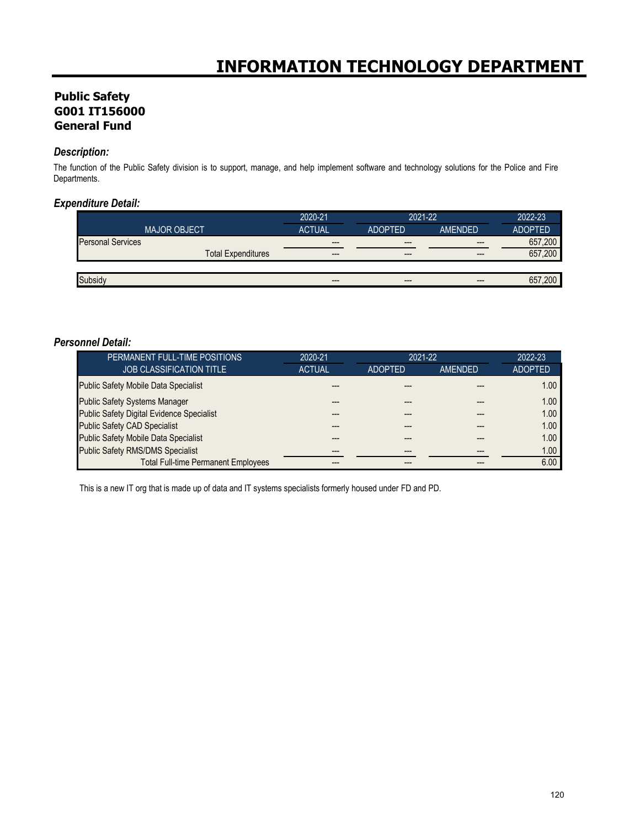# **Public Safety G001 IT156000 General Fund**

#### *Description:*

The function of the Public Safety division is to support, manage, and help implement software and technology solutions for the Police and Fire Departments.

### *Expenditure Detail:*

|                          |                           | 2020-21       | 2021-22        |                | 2022-23        |
|--------------------------|---------------------------|---------------|----------------|----------------|----------------|
|                          | <b>MAJOR OBJECT</b>       | <b>ACTUAL</b> | <b>ADOPTED</b> | <b>AMFNDFD</b> | <b>ADOPTED</b> |
| <b>Personal Services</b> |                           | $---$         | $---$          | $---$          | 657.200        |
|                          | <b>Total Expenditures</b> | $- - -$       | $---$          | $---$          | .200<br>657    |
|                          |                           |               |                |                |                |
|                          |                           | $---$         | $---$          | $---$          | .200<br>65     |

#### *Personnel Detail:*

| PERMANENT FULL-TIME POSITIONS                    | 2020-21<br>$2021 - 22$ |                | 2022-23        |                   |
|--------------------------------------------------|------------------------|----------------|----------------|-------------------|
| <b>JOB CLASSIFICATION TITLE</b>                  | <b>ACTUAL</b>          | <b>ADOPTED</b> | <b>AMENDED</b> | <b>ADOPTED</b>    |
| <b>Public Safety Mobile Data Specialist</b>      |                        |                |                | 1.00 <sub>1</sub> |
| <b>Public Safety Systems Manager</b>             |                        |                |                | 1.00              |
| <b>Public Safety Digital Evidence Specialist</b> |                        |                |                | 1.00              |
| <b>Public Safety CAD Specialist</b>              |                        |                |                | 1.00              |
| <b>Public Safety Mobile Data Specialist</b>      |                        |                |                | 1.00              |
| <b>Public Safety RMS/DMS Specialist</b>          |                        |                | ---            | 1.00              |
| <b>Total Full-time Permanent Employees</b>       |                        |                |                | 6.00              |

This is a new IT org that is made up of data and IT systems specialists formerly housed under FD and PD.